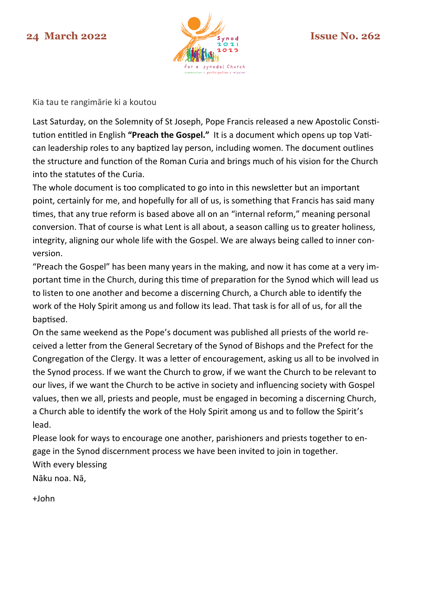

Kia tau te rangimārie ki a koutou

Last Saturday, on the Solemnity of St Joseph, Pope Francis released a new Apostolic Constitution entitled in English **"Preach the Gospel."** It is a document which opens up top Vatican leadership roles to any baptized lay person, including women. The document outlines the structure and function of the Roman Curia and brings much of his vision for the Church into the statutes of the Curia.

The whole document is too complicated to go into in this newsletter but an important point, certainly for me, and hopefully for all of us, is something that Francis has said many times, that any true reform is based above all on an "internal reform," meaning personal conversion. That of course is what Lent is all about, a season calling us to greater holiness, integrity, aligning our whole life with the Gospel. We are always being called to inner conversion.

"Preach the Gospel" has been many years in the making, and now it has come at a very important time in the Church, during this time of preparation for the Synod which will lead us to listen to one another and become a discerning Church, a Church able to identify the work of the Holy Spirit among us and follow its lead. That task is for all of us, for all the baptised.

On the same weekend as the Pope's document was published all priests of the world received a letter from the General Secretary of the Synod of Bishops and the Prefect for the Congregation of the Clergy. It was a letter of encouragement, asking us all to be involved in the Synod process. If we want the Church to grow, if we want the Church to be relevant to our lives, if we want the Church to be active in society and influencing society with Gospel values, then we all, priests and people, must be engaged in becoming a discerning Church, a Church able to identify the work of the Holy Spirit among us and to follow the Spirit's lead.

Please look for ways to encourage one another, parishioners and priests together to engage in the Synod discernment process we have been invited to join in together. With every blessing

Nāku noa. Nā,

+John